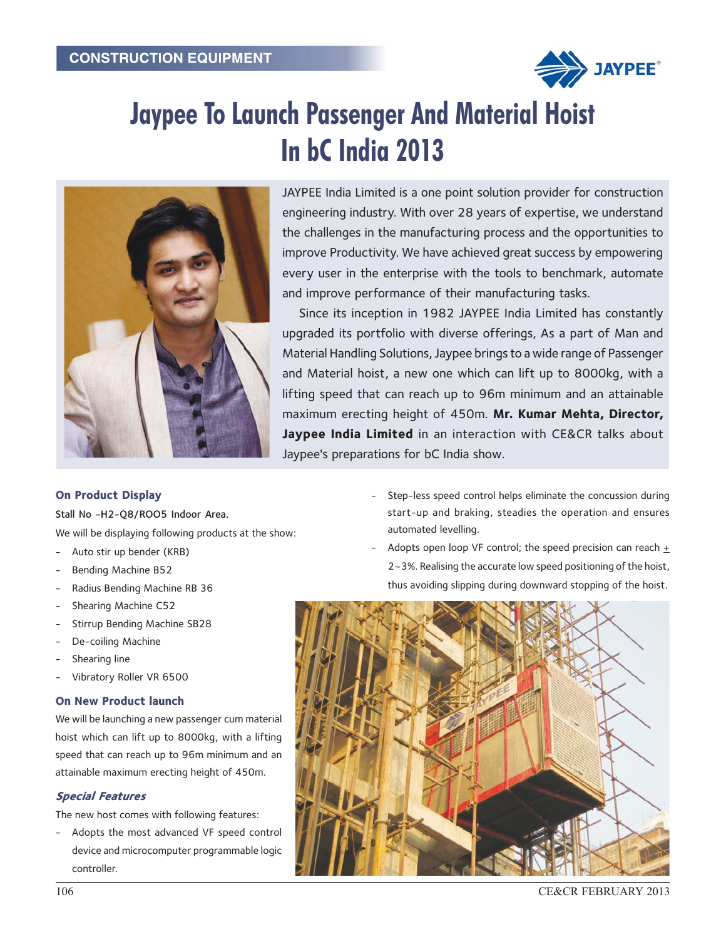

# Jaypee To Launch Passenger And Material Hoist In bC India 2013



JAYPEE India Limited is a one point solution provider for construction engineering industry. With over 28 years of expertise, we understand the challenges in the manufacturing process and the opportunities to improve Productivity. We have achieved great success by empowering every user in the enterprise with the tools to benchmark, automate and improve performance of their manufacturing tasks.

Since its inception in 1982 JAYPEE India Limited has constantly upgraded its portfolio with diverse offerings, As a part of Man and Material Handling Solutions, Jaypee brings to a wide range of Passenger and Material hoist, a new one which can lift up to 8000kg, with a lifting speed that can reach up to 96m minimum and an attainable maximum erecting height of 450m. Mr. Kumar Mehta, Director, Jaypee India Limited in an interaction with CE&CR talks about Jaypee's preparations for bC India show.

# On Product Display

Stall No -H2-Q8/ROO5 Indoor Area.

We will be displaying following products at the show:

- Auto stir up bender (KRB)
- Bending Machine B52
- Radius Bending Machine RB 36
- Shearing Machine C52
- Stirrup Bending Machine SB28
- De-coiling Machine
- Shearing line
- Vibratory Roller VR 6500

## On New Product launch

We will be launching a new passenger cum material hoist which can lift up to 8000kg, with a lifting speed that can reach up to 96m minimum and an attainable maximum erecting height of 450m.

## Special Features

The new host comes with following features:

Adopts the most advanced VF speed control device and microcomputer programmable logic controller.

- Step-less speed control helps eliminate the concussion during start-up and braking, steadies the operation and ensures automated levelling.
- Adopts open loop VF control; the speed precision can reach  $\pm$ 2~3%. Realising the accurate low speed positioning of the hoist, thus avoiding slipping during downward stopping of the hoist.



106 CE&CR FEBRUARY 2013